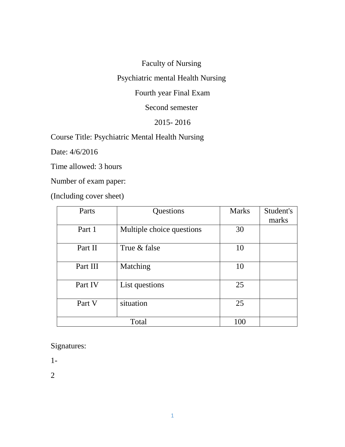Faculty of Nursing

Psychiatric mental Health Nursing

Fourth year Final Exam

Second semester

### 2015- 2016

Course Title: Psychiatric Mental Health Nursing

Date: 4/6/2016

Time allowed: 3 hours

Number of exam paper:

(Including cover sheet)

| Parts    | Questions                 | <b>Marks</b> | Student's<br>marks |
|----------|---------------------------|--------------|--------------------|
| Part 1   | Multiple choice questions | 30           |                    |
| Part II  | True & false              | 10           |                    |
| Part III | Matching                  | 10           |                    |
| Part IV  | List questions            | 25           |                    |
| Part V   | situation                 | 25           |                    |
|          | Total                     | 100          |                    |

Signatures:

1-

2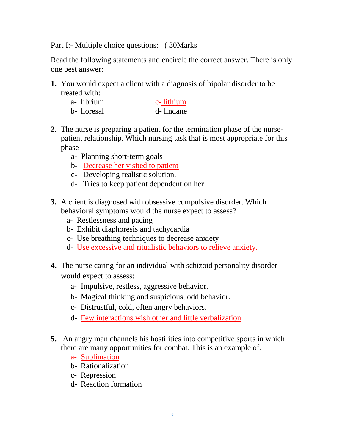#### Part I:- Multiple choice questions: ( 30Marks

Read the following statements and encircle the correct answer. There is only one best answer:

**1.** You would expect a client with a diagnosis of bipolar disorder to be treated with:

| a-librium   | c-lithium |
|-------------|-----------|
| b- lioresal | d-lindane |

- **2.** The nurse is preparing a patient for the termination phase of the nursepatient relationship. Which nursing task that is most appropriate for this phase
	- a- Planning short-term goals
	- b- Decrease her visited to patient
	- c- Developing realistic solution.
	- d- Tries to keep patient dependent on her
- **3.** A client is diagnosed with obsessive compulsive disorder. Which behavioral symptoms would the nurse expect to assess?
	- a- Restlessness and pacing
	- b- Exhibit diaphoresis and tachycardia
	- c- Use breathing techniques to decrease anxiety
	- d- Use excessive and ritualistic behaviors to relieve anxiety.
- **4.** The nurse caring for an individual with schizoid personality disorder would expect to assess:
	- a- Impulsive, restless, aggressive behavior.
	- b- Magical thinking and suspicious, odd behavior.
	- c- Distrustful, cold, often angry behaviors.
	- d- Few interactions wish other and little verbalization
- **5.** An angry man channels his hostilities into competitive sports in which there are many opportunities for combat. This is an example of.
	- a- Sublimation
	- b- Rationalization
	- c- Repression
	- d- Reaction formation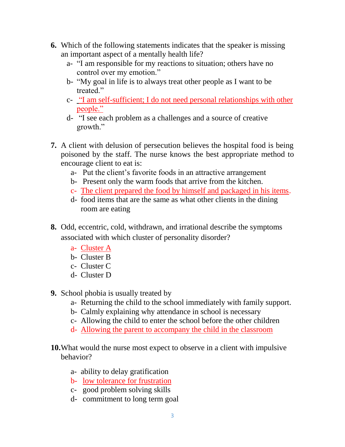- **6.** Which of the following statements indicates that the speaker is missing an important aspect of a mentally health life?
	- a- "I am responsible for my reactions to situation; others have no control over my emotion."
	- b- "My goal in life is to always treat other people as I want to be treated."
	- c- "I am self-sufficient; I do not need personal relationships with other people."
	- d- "I see each problem as a challenges and a source of creative growth."
- **7.** A client with delusion of persecution believes the hospital food is being poisoned by the staff. The nurse knows the best appropriate method to encourage client to eat is:
	- a- Put the client's favorite foods in an attractive arrangement
	- b- Present only the warm foods that arrive from the kitchen.
	- c- The client prepared the food by himself and packaged in his items.
	- d- food items that are the same as what other clients in the dining room are eating
- **8.** Odd, eccentric, cold, withdrawn, and irrational describe the symptoms associated with which cluster of personality disorder?
	- a- Cluster A
	- b- Cluster B
	- c- Cluster C
	- d- Cluster D
- **9.** School phobia is usually treated by
	- a- Returning the child to the school immediately with family support.
	- b- Calmly explaining why attendance in school is necessary
	- c- Allowing the child to enter the school before the other children
	- d- Allowing the parent to accompany the child in the classroom
- **10.**What would the nurse most expect to observe in a client with impulsive behavior?
	- a- ability to delay gratification
	- b- low tolerance for frustration
	- c- good problem solving skills
	- d- commitment to long term goal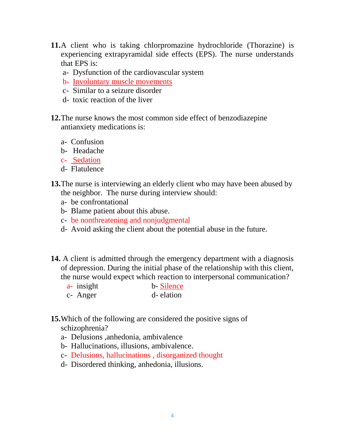- **11.**A client who is taking chlorpromazine hydrochloride (Thorazine) is experiencing extrapyramidal side effects (EPS). The nurse understands that EPS is:
	- a- Dysfunction of the cardiovascular system
	- b- Involuntary muscle movements
	- c- Similar to a seizure disorder
	- d- toxic reaction of the liver
- **12.**The nurse knows the most common side effect of benzodiazepine antianxiety medications is:
	- a- Confusion
	- b- Headache
	- c- Sedation
	- d- Flatulence
- **13.**The nurse is interviewing an elderly client who may have been abused by the neighbor. The nurse during interview should:
	- a- be confrontational
	- b- Blame patient about this abuse.
	- c- be nonthreatening and nonjudgmental
	- d- Avoid asking the client about the potential abuse in the future.
- **14.** A client is admitted through the emergency department with a diagnosis of depression. During the initial phase of the relationship with this client, the nurse would expect which reaction to interpersonal communication?
	- a- insight b- Silence
	- c- Anger d- elation
- **15.**Which of the following are considered the positive signs of schizophrenia?
	- a- Delusions ,anhedonia, ambivalence
	- b- Hallucinations, illusions, ambivalence.
	- c- Delusions, hallucinations , disorganized thought
	- d- Disordered thinking, anhedonia, illusions.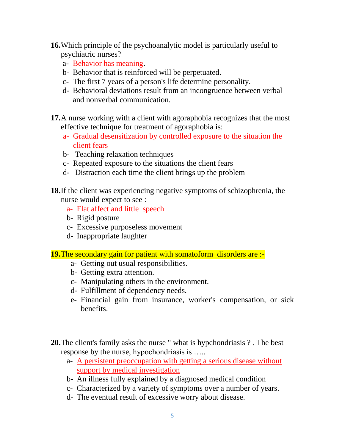- **16.**Which principle of the psychoanalytic model is particularly useful to psychiatric nurses?
	- a- Behavior has meaning.
	- b- Behavior that is reinforced will be perpetuated.
	- c- The first 7 years of a person's life determine personality.
	- d- Behavioral deviations result from an incongruence between verbal and nonverbal communication.
- **17.**A nurse working with a client with agoraphobia recognizes that the most effective technique for treatment of agoraphobia is:
	- a- Gradual desensitization by controlled exposure to the situation the client fears
	- b- Teaching relaxation techniques
	- c- Repeated exposure to the situations the client fears
	- d- Distraction each time the client brings up the problem
- **18.**If the client was experiencing negative symptoms of schizophrenia, the nurse would expect to see :
	- a- Flat affect and little speech
	- b- Rigid posture
	- c- Excessive purposeless movement
	- d- Inappropriate laughter
- **19.**The secondary gain for patient with somatoform disorders are :
	- a- Getting out usual responsibilities.
	- b- Getting extra attention.
	- c- Manipulating others in the environment.
	- d- Fulfillment of dependency needs.
	- e- Financial gain from insurance, worker's compensation, or sick benefits.
- **20.**The client's family asks the nurse " what is hypchondriasis ? . The best response by the nurse, hypochondriasis is …..
	- a- A persistent preoccupation with getting a serious disease without support by medical investigation
	- b- An illness fully explained by a diagnosed medical condition
	- c- Characterized by a variety of symptoms over a number of years.
	- d- The eventual result of excessive worry about disease.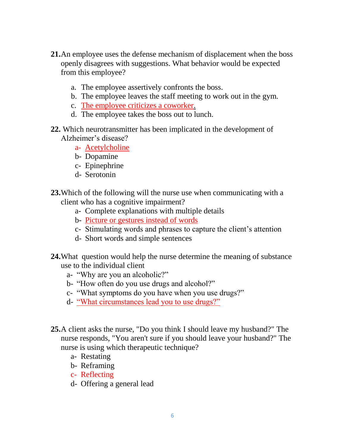- **21.**An employee uses the defense mechanism of displacement when the boss openly disagrees with suggestions. What behavior would be expected from this employee?
	- a. The employee assertively confronts the boss.
	- b. The employee leaves the staff meeting to work out in the gym.
	- c. The employee criticizes a coworker.
	- d. The employee takes the boss out to lunch.
- **22.** Which neurotransmitter has been implicated in the development of Alzheimer's disease?
	- a- Acetylcholine
	- b- Dopamine
	- c- Epinephrine
	- d- Serotonin
- **23.**Which of the following will the nurse use when communicating with a client who has a cognitive impairment?
	- a- Complete explanations with multiple details
	- b- Picture or gestures instead of words
	- c- Stimulating words and phrases to capture the client's attention
	- d- Short words and simple sentences
- **24.**What question would help the nurse determine the meaning of substance use to the individual client
	- a- "Why are you an alcoholic?"
	- b- "How often do you use drugs and alcohol?"
	- c- "What symptoms do you have when you use drugs?"
	- d- "What circumstances lead you to use drugs?"
- **25.**A client asks the nurse, "Do you think I should leave my husband?" The nurse responds, "You aren't sure if you should leave your husband?" The nurse is using which therapeutic technique?
	- a- Restating
	- b- Reframing
	- c- Reflecting
	- d- Offering a general lead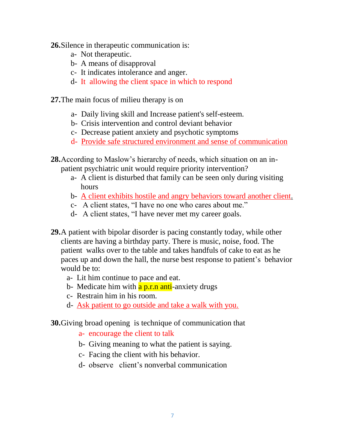- **26.**Silence in therapeutic communication is:
	- a- Not therapeutic.
	- b- A means of disapproval
	- c- It indicates intolerance and anger.
	- d- It allowing the client space in which to respond
- **27.**The main focus of milieu therapy is on
	- a- Daily living skill and Increase patient's self-esteem.
	- b- Crisis intervention and control deviant behavior
	- c- Decrease patient anxiety and psychotic symptoms
	- d- Provide safe structured environment and sense of communication
- **28.**According to Maslow's hierarchy of needs, which situation on an inpatient psychiatric unit would require priority intervention?
	- a- A client is disturbed that family can be seen only during visiting hours
	- b- A client exhibits hostile and angry behaviors toward another client.
	- c- A client states, "I have no one who cares about me."
	- d- A client states, "I have never met my career goals.
- **29.**A patient with bipolar disorder is pacing constantly today, while other clients are having a birthday party. There is music, noise, food. The patient walks over to the table and takes handfuls of cake to eat as he paces up and down the hall, the nurse best response to patient's behavior would be to:
	- a- Lit him continue to pace and eat.
	- b- Medicate him with **a p.r.n anti**-anxiety drugs
	- c- Restrain him in his room.
	- d- Ask patient to go outside and take a walk with you.

**30.**Giving broad opening is technique of communication that

- a- encourage the client to talk
- b- Giving meaning to what the patient is saying.
- c- Facing the client with his behavior.
- d- observe client's nonverbal communication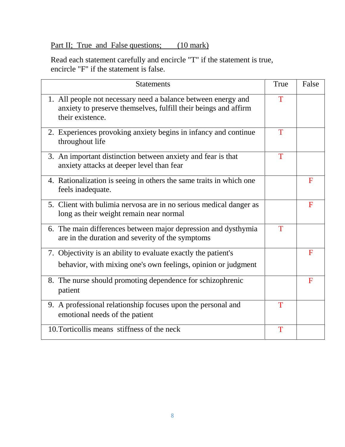# Part II; True and False questions; (10 mark)

Read each statement carefully and encircle "T" if the statement is true, encircle "F" if the statement is false.

| <b>Statements</b>                                                                                                                                    | True | False       |
|------------------------------------------------------------------------------------------------------------------------------------------------------|------|-------------|
| 1. All people not necessary need a balance between energy and<br>anxiety to preserve themselves, fulfill their beings and affirm<br>their existence. | T    |             |
| 2. Experiences provoking anxiety begins in infancy and continue<br>throughout life                                                                   | T    |             |
| 3. An important distinction between anxiety and fear is that<br>anxiety attacks at deeper level than fear                                            | T    |             |
| 4. Rationalization is seeing in others the same traits in which one<br>feels inadequate.                                                             |      | F           |
| 5. Client with bulimia nervosa are in no serious medical danger as<br>long as their weight remain near normal                                        |      | $\mathbf F$ |
| 6. The main differences between major depression and dysthymia<br>are in the duration and severity of the symptoms                                   | T    |             |
| 7. Objectivity is an ability to evaluate exactly the patient's                                                                                       |      | F           |
| behavior, with mixing one's own feelings, opinion or judgment                                                                                        |      |             |
| 8. The nurse should promoting dependence for schizophrenic<br>patient                                                                                |      | $\mathbf F$ |
| 9. A professional relationship focuses upon the personal and<br>emotional needs of the patient                                                       | T    |             |
| 10. Torticollis means stiffness of the neck                                                                                                          | T    |             |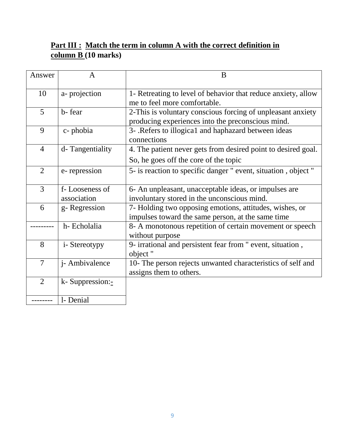### Part III : Match the term in column A with the correct definition in **column B (10 marks)**

| Answer         | A                             | B                                                                                                                |
|----------------|-------------------------------|------------------------------------------------------------------------------------------------------------------|
| 10             | a-projection                  | 1- Retreating to level of behavior that reduce anxiety, allow<br>me to feel more comfortable.                    |
| 5              | b-fear                        | 2-This is voluntary conscious forcing of unpleasant anxiety<br>producing experiences into the preconscious mind. |
| 9              | c-phobia                      | 3- . Refers to illogical and haphazard between ideas<br>connections                                              |
| $\overline{4}$ | d-Tangentiality               | 4. The patient never gets from desired point to desired goal.<br>So, he goes off the core of the topic           |
| $\overline{2}$ | e-repression                  | 5- is reaction to specific danger " event, situation, object "                                                   |
| 3              | f-Looseness of<br>association | 6- An unpleasant, unacceptable ideas, or impulses are<br>involuntary stored in the unconscious mind.             |
| 6              | g-Regression                  | 7- Holding two opposing emotions, attitudes, wishes, or<br>impulses toward the same person, at the same time     |
|                | h-Echolalia                   | 8- A monotonous repetition of certain movement or speech<br>without purpose                                      |
| 8              | i-Stereotypy                  | 9- irrational and persistent fear from " event, situation,<br>object "                                           |
| $\overline{7}$ | j- Ambivalence                | 10- The person rejects unwanted characteristics of self and<br>assigns them to others.                           |
| 2              | k-Suppression:-               |                                                                                                                  |
|                | 1- Denial                     |                                                                                                                  |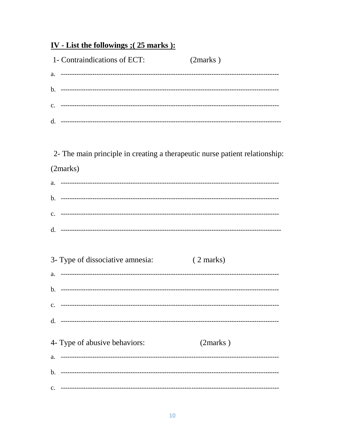# IV - List the followings ; (25 marks ):

|          | 1- Contraindications of ECT:                                                | (2 marks)           |  |
|----------|-----------------------------------------------------------------------------|---------------------|--|
|          |                                                                             |                     |  |
|          |                                                                             |                     |  |
|          |                                                                             |                     |  |
|          |                                                                             |                     |  |
|          |                                                                             |                     |  |
|          | 2- The main principle in creating a therapeutic nurse patient relationship: |                     |  |
| (2marks) |                                                                             |                     |  |
|          |                                                                             |                     |  |
|          |                                                                             |                     |  |
|          |                                                                             |                     |  |
|          |                                                                             |                     |  |
|          |                                                                             |                     |  |
|          | 3- Type of dissociative amnesia:                                            | $(2 \text{ marks})$ |  |
|          |                                                                             |                     |  |
|          |                                                                             |                     |  |
|          |                                                                             |                     |  |
| d.       |                                                                             |                     |  |
|          |                                                                             |                     |  |
|          | 4- Type of abusive behaviors:                                               | (2 marks)           |  |
| a.       |                                                                             |                     |  |
| b.       |                                                                             |                     |  |
| c.       |                                                                             |                     |  |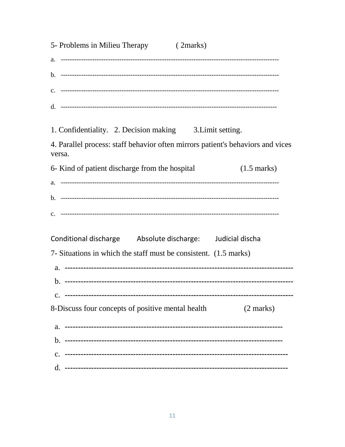| 5- Problems in Milieu Therapy (2marks)                                                    |
|-------------------------------------------------------------------------------------------|
|                                                                                           |
|                                                                                           |
|                                                                                           |
|                                                                                           |
| 1. Confidentiality. 2. Decision making 3. Limit setting.                                  |
| 4. Parallel process: staff behavior often mirrors patient's behaviors and vices<br>versa. |
| 6- Kind of patient discharge from the hospital<br>$(1.5 \text{ marks})$                   |
|                                                                                           |
|                                                                                           |
|                                                                                           |
| Conditional discharge Absolute discharge: Judicial discha                                 |
| 7- Situations in which the staff must be consistent. (1.5 marks)                          |
|                                                                                           |
|                                                                                           |
|                                                                                           |
| 8-Discuss four concepts of positive mental health<br>(2 marks)                            |
|                                                                                           |
|                                                                                           |
| $\mathbf{c}$ .                                                                            |
|                                                                                           |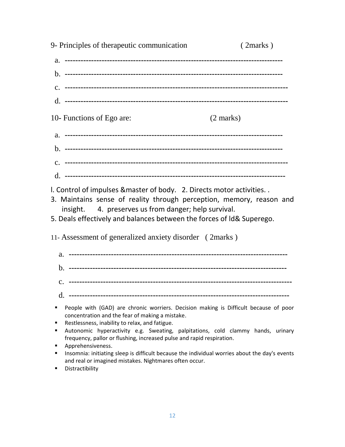| 9- Principles of therapeutic communication                                                                                                                                                                                                                                    | (2 marks)           |
|-------------------------------------------------------------------------------------------------------------------------------------------------------------------------------------------------------------------------------------------------------------------------------|---------------------|
|                                                                                                                                                                                                                                                                               |                     |
|                                                                                                                                                                                                                                                                               |                     |
|                                                                                                                                                                                                                                                                               |                     |
|                                                                                                                                                                                                                                                                               |                     |
| 10- Functions of Ego are:                                                                                                                                                                                                                                                     | $(2 \text{ marks})$ |
|                                                                                                                                                                                                                                                                               |                     |
|                                                                                                                                                                                                                                                                               |                     |
|                                                                                                                                                                                                                                                                               |                     |
|                                                                                                                                                                                                                                                                               |                     |
| I. Control of impulses & master of body. 2. Directs motor activities<br>3. Maintains sense of reality through perception, memory, reason and<br>insight. 4. preserves us from danger; help survival.<br>5. Deals effectively and balances between the forces of Id& Superego. |                     |
| 11- Assessment of generalized anxiety disorder (2marks)                                                                                                                                                                                                                       |                     |
|                                                                                                                                                                                                                                                                               |                     |
|                                                                                                                                                                                                                                                                               |                     |
|                                                                                                                                                                                                                                                                               |                     |
| d.                                                                                                                                                                                                                                                                            |                     |
| People with (GAD) are chronic worriers. Decision making is Difficult because of poor<br>٠<br>concentration and the fear of making a mistake.                                                                                                                                  |                     |
| Restlessness, inability to relax, and fatigue.<br>٠<br>٠                                                                                                                                                                                                                      |                     |
| Autonomic hyperactivity e.g. Sweating, palpitations, cold clammy hands, urinary<br>frequency, pallor or flushing, increased pulse and rapid respiration.                                                                                                                      |                     |
| Apprehensiveness.<br>٠<br>Insomnia: initiating sleep is difficult because the individual worries about the day's events<br>٠<br>and real or imagined mistakes. Nightmares often occur.                                                                                        |                     |

**-** Distractibility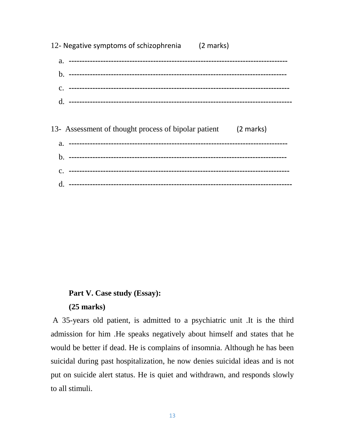| 12- Negative symptoms of schizophrenia (2 marks)               |  |
|----------------------------------------------------------------|--|
|                                                                |  |
|                                                                |  |
|                                                                |  |
|                                                                |  |
|                                                                |  |
| 13- Assessment of thought process of bipolar patient (2 marks) |  |
|                                                                |  |
|                                                                |  |
|                                                                |  |
| d.                                                             |  |

#### **Part V. Case study (Essay):**

#### **(25 marks)**

A 35-years old patient, is admitted to a psychiatric unit .It is the third admission for him .He speaks negatively about himself and states that he would be better if dead. He is complains of insomnia. Although he has been suicidal during past hospitalization, he now denies suicidal ideas and is not put on suicide alert status. He is quiet and withdrawn, and responds slowly to all stimuli.